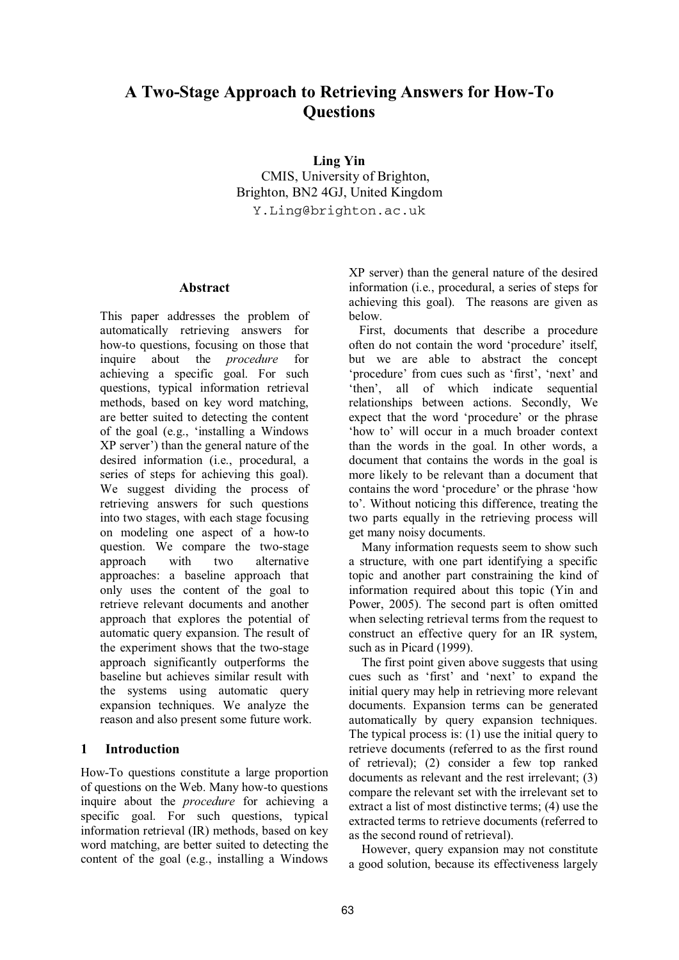# **A Two-Stage Approach to Retrieving Answers for How-To Questions**

**Ling Yin** 

CMIS, University of Brighton, Brighton, BN2 4GJ, United Kingdom Y.Ling@brighton.ac.uk

## **Abstract**

This paper addresses the problem of automatically retrieving answers for how-to questions, focusing on those that inquire about the *procedure* for achieving a specific goal. For such questions, typical information retrieval methods, based on key word matching, are better suited to detecting the content of the goal (e.g., 'installing a Windows XP server') than the general nature of the desired information (i.e., procedural, a series of steps for achieving this goal). We suggest dividing the process of retrieving answers for such questions into two stages, with each stage focusing on modeling one aspect of a how-to question. We compare the two-stage approach with two alternative approaches: a baseline approach that only uses the content of the goal to retrieve relevant documents and another approach that explores the potential of automatic query expansion. The result of the experiment shows that the two-stage approach significantly outperforms the baseline but achieves similar result with the systems using automatic query expansion techniques. We analyze the reason and also present some future work.

# **1 Introduction**

How-To questions constitute a large proportion of questions on the Web. Many how-to questions inquire about the *procedure* for achieving a specific goal. For such questions, typical information retrieval (IR) methods, based on key word matching, are better suited to detecting the content of the goal (e.g., installing a Windows

XP server) than the general nature of the desired information (i.e., procedural, a series of steps for achieving this goal). The reasons are given as below.

First, documents that describe a procedure often do not contain the word 'procedure' itself, but we are able to abstract the concept 'procedure' from cues such as 'first', 'next' and 'then', all of which indicate sequential relationships between actions. Secondly, We expect that the word 'procedure' or the phrase 'how to' will occur in a much broader context than the words in the goal. In other words, a document that contains the words in the goal is more likely to be relevant than a document that contains the word 'procedure' or the phrase 'how to'. Without noticing this difference, treating the two parts equally in the retrieving process will get many noisy documents.

Many information requests seem to show such a structure, with one part identifying a specific topic and another part constraining the kind of information required about this topic (Yin and Power, 2005). The second part is often omitted when selecting retrieval terms from the request to construct an effective query for an IR system, such as in Picard (1999).

The first point given above suggests that using cues such as 'first' and 'next' to expand the initial query may help in retrieving more relevant documents. Expansion terms can be generated automatically by query expansion techniques. The typical process is: (1) use the initial query to retrieve documents (referred to as the first round of retrieval); (2) consider a few top ranked documents as relevant and the rest irrelevant; (3) compare the relevant set with the irrelevant set to extract a list of most distinctive terms; (4) use the extracted terms to retrieve documents (referred to as the second round of retrieval).

However, query expansion may not constitute a good solution, because its effectiveness largely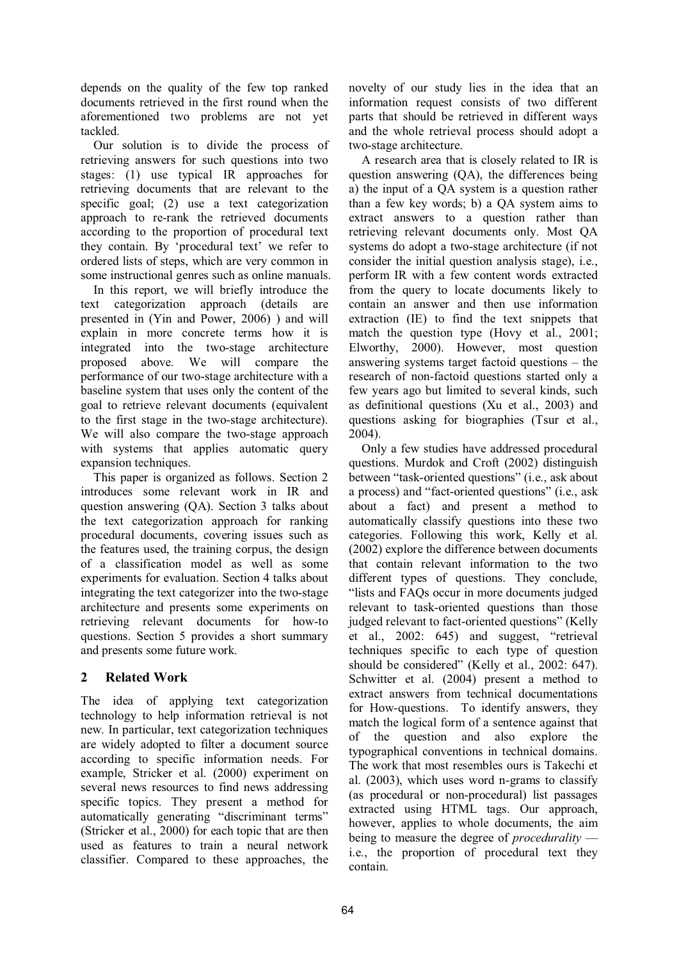depends on the quality of the few top ranked documents retrieved in the first round when the aforementioned two problems are not yet tackled.

Our solution is to divide the process of retrieving answers for such questions into two stages: (1) use typical IR approaches for retrieving documents that are relevant to the specific goal; (2) use a text categorization approach to re-rank the retrieved documents according to the proportion of procedural text they contain. By 'procedural text' we refer to ordered lists of steps, which are very common in some instructional genres such as online manuals.

In this report, we will briefly introduce the text categorization approach (details are presented in (Yin and Power, 2006) ) and will explain in more concrete terms how it is integrated into the two-stage architecture proposed above. We will compare the performance of our two-stage architecture with a baseline system that uses only the content of the goal to retrieve relevant documents (equivalent to the first stage in the two-stage architecture). We will also compare the two-stage approach with systems that applies automatic query expansion techniques.

This paper is organized as follows. Section 2 introduces some relevant work in IR and question answering (QA). Section 3 talks about the text categorization approach for ranking procedural documents, covering issues such as the features used, the training corpus, the design of a classification model as well as some experiments for evaluation. Section 4 talks about integrating the text categorizer into the two-stage architecture and presents some experiments on retrieving relevant documents for how-to questions. Section 5 provides a short summary and presents some future work.

# **2 Related Work**

The idea of applying text categorization technology to help information retrieval is not new. In particular, text categorization techniques are widely adopted to filter a document source according to specific information needs. For example, Stricker et al. (2000) experiment on several news resources to find news addressing specific topics. They present a method for automatically generating "discriminant terms" (Stricker et al., 2000) for each topic that are then used as features to train a neural network classifier. Compared to these approaches, the novelty of our study lies in the idea that an information request consists of two different parts that should be retrieved in different ways and the whole retrieval process should adopt a two-stage architecture.

A research area that is closely related to IR is question answering (QA), the differences being a) the input of a QA system is a question rather than a few key words; b) a QA system aims to extract answers to a question rather than retrieving relevant documents only. Most QA systems do adopt a two-stage architecture (if not consider the initial question analysis stage), i.e., perform IR with a few content words extracted from the query to locate documents likely to contain an answer and then use information extraction (IE) to find the text snippets that match the question type (Hovy et al., 2001; Elworthy, 2000). However, most question answering systems target factoid questions – the research of non-factoid questions started only a few years ago but limited to several kinds, such as definitional questions (Xu et al., 2003) and questions asking for biographies (Tsur et al., 2004).

Only a few studies have addressed procedural questions. Murdok and Croft (2002) distinguish between "task-oriented questions" (i.e., ask about a process) and "fact-oriented questions" (i.e., ask about a fact) and present a method to automatically classify questions into these two categories. Following this work, Kelly et al. (2002) explore the difference between documents that contain relevant information to the two different types of questions. They conclude, "lists and FAQs occur in more documents judged relevant to task-oriented questions than those judged relevant to fact-oriented questions" (Kelly et al., 2002: 645) and suggest, "retrieval techniques specific to each type of question should be considered" (Kelly et al., 2002: 647). Schwitter et al. (2004) present a method to extract answers from technical documentations for How-questions. To identify answers, they match the logical form of a sentence against that of the question and also explore the typographical conventions in technical domains. The work that most resembles ours is Takechi et al. (2003), which uses word n-grams to classify (as procedural or non-procedural) list passages extracted using HTML tags. Our approach, however, applies to whole documents, the aim being to measure the degree of *procedurality* i.e., the proportion of procedural text they contain.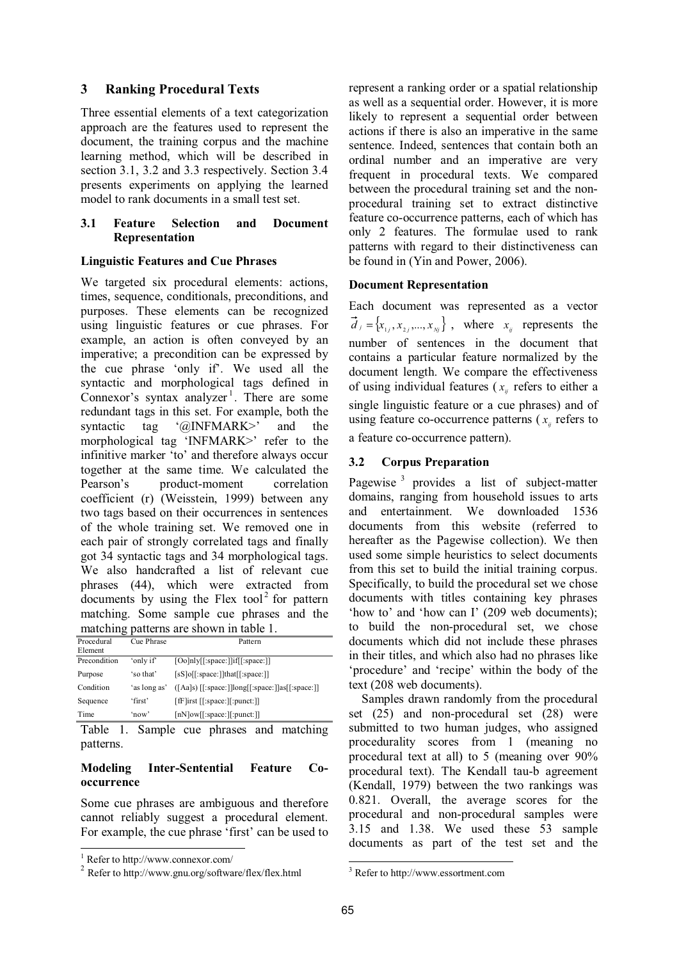# **3 Ranking Procedural Texts**

Three essential elements of a text categorization approach are the features used to represent the document, the training corpus and the machine learning method, which will be described in section 3.1, 3.2 and 3.3 respectively. Section 3.4 presents experiments on applying the learned model to rank documents in a small test set.

### **3.1 Feature Selection and Document Representation**

## **Linguistic Features and Cue Phrases**

We targeted six procedural elements: actions, times, sequence, conditionals, preconditions, and purposes. These elements can be recognized using linguistic features or cue phrases. For example, an action is often conveyed by an imperative; a precondition can be expressed by the cue phrase 'only if'. We used all the syntactic and morphological tags defined in Connexor's syntax analyzer<sup>1</sup>. There are some redundant tags in this set. For example, both the syntactic tag '@INFMARK>' and the morphological tag 'INFMARK>' refer to the infinitive marker 'to' and therefore always occur together at the same time. We calculated the Pearson's product-moment correlation coefficient (r) (Weisstein, 1999) between any two tags based on their occurrences in sentences of the whole training set. We removed one in each pair of strongly correlated tags and finally got 34 syntactic tags and 34 morphological tags. We also handcrafted a list of relevant cue phrases (44), which were extracted from documents by using the Flex tool<sup>2</sup> for pattern matching. Some sample cue phrases and the matching patterns are shown in table 1.

| Procedural<br>Element | Cue Phrase   | Pattern                                              |
|-----------------------|--------------|------------------------------------------------------|
| Precondition          | 'only if'    | [Oo]nly[[:space:]]if[[:space:]]                      |
| Purpose               | 'so that'    | $[sS]$ o $[[:space:]]$ that $[[:space:]]$            |
| Condition             | 'as long as' | $([Aa]s)$ [[:space:]] $long[$ :space:]]as[[:space:]] |
| Sequence              | 'first'      | $[$ fF $]$ irst $[$ :space: $]$ :punct: $]$          |
| Time                  | 'now'        | $[nN]ow[[\text{!space:}]]\text{:}punct:]]$           |

Table 1. Sample cue phrases and matching patterns.

## **Modeling Inter-Sentential Feature Cooccurrence**

Some cue phrases are ambiguous and therefore cannot reliably suggest a procedural element. For example, the cue phrase 'first' can be used to represent a ranking order or a spatial relationship as well as a sequential order. However, it is more likely to represent a sequential order between actions if there is also an imperative in the same sentence. Indeed, sentences that contain both an ordinal number and an imperative are very frequent in procedural texts. We compared between the procedural training set and the nonprocedural training set to extract distinctive feature co-occurrence patterns, each of which has only 2 features. The formulae used to rank patterns with regard to their distinctiveness can be found in (Yin and Power, 2006).

## **Document Representation**

Each document was represented as a vector  ${\bf \vec{d}}_j = {\bf x}_{1j}, {\bf x}_{2j},..., {\bf x}_{Nj}$ , where  ${\bf x}_{ij}$  represents the number of sentences in the document that contains a particular feature normalized by the document length. We compare the effectiveness of using individual features ( $x<sub>ii</sub>$  refers to either a single linguistic feature or a cue phrases) and of using feature co-occurrence patterns ( $x<sub>i</sub>$  refers to a feature co-occurrence pattern).

# **3.2 Corpus Preparation**

Pagewise<sup>3</sup> provides a list of subject-matter domains, ranging from household issues to arts and entertainment. We downloaded 1536 documents from this website (referred to hereafter as the Pagewise collection). We then used some simple heuristics to select documents from this set to build the initial training corpus. Specifically, to build the procedural set we chose documents with titles containing key phrases 'how to' and 'how can I' (209 web documents); to build the non-procedural set, we chose documents which did not include these phrases in their titles, and which also had no phrases like 'procedure' and 'recipe' within the body of the text (208 web documents).

Samples drawn randomly from the procedural set (25) and non-procedural set (28) were submitted to two human judges, who assigned procedurality scores from 1 (meaning no procedural text at all) to 5 (meaning over 90% procedural text). The Kendall tau-b agreement (Kendall, 1979) between the two rankings was 0.821. Overall, the average scores for the procedural and non-procedural samples were 3.15 and 1.38. We used these 53 sample documents as part of the test set and the

 1 Refer to http://www.connexor.com/

<sup>2</sup> Refer to http://www.gnu.org/software/flex/flex.html

 $\overline{a}$ 3 Refer to http://www.essortment.com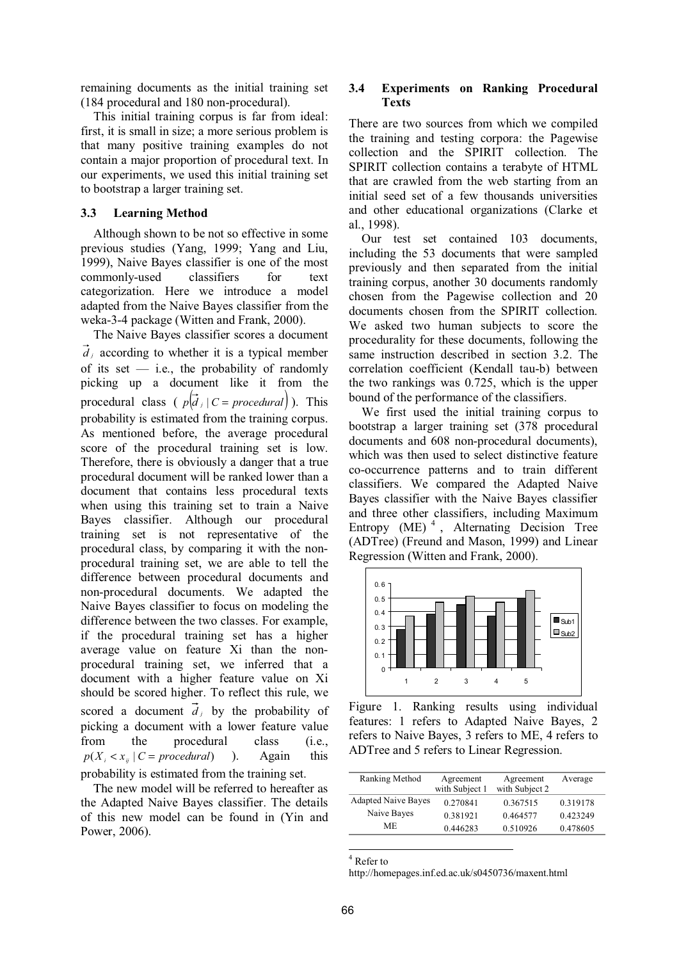remaining documents as the initial training set (184 procedural and 180 non-procedural).

This initial training corpus is far from ideal: first, it is small in size; a more serious problem is that many positive training examples do not contain a major proportion of procedural text. In our experiments, we used this initial training set to bootstrap a larger training set.

#### **3.3 Learning Method**

Although shown to be not so effective in some previous studies (Yang, 1999; Yang and Liu, 1999), Naive Bayes classifier is one of the most commonly-used classifiers for text categorization. Here we introduce a model adapted from the Naive Bayes classifier from the weka-3-4 package (Witten and Frank, 2000).

The Naive Bayes classifier scores a document  $\overline{d}_i$  according to whether it is a typical member of its set  $-$  i.e., the probability of randomly picking up a document like it from the procedural class (  $p(\vec{d} \mid C = procedure)$ ). This probability is estimated from the training corpus. As mentioned before, the average procedural score of the procedural training set is low. Therefore, there is obviously a danger that a true procedural document will be ranked lower than a document that contains less procedural texts when using this training set to train a Naive Bayes classifier. Although our procedural training set is not representative of the procedural class, by comparing it with the nonprocedural training set, we are able to tell the difference between procedural documents and non-procedural documents. We adapted the Naive Bayes classifier to focus on modeling the difference between the two classes. For example, if the procedural training set has a higher average value on feature Xi than the nonprocedural training set, we inferred that a document with a higher feature value on Xi should be scored higher. To reflect this rule, we scored a document  $\vec{d}$  by the probability of picking a document with a lower feature value from the procedural class (i.e.,  $p(X_i \le x_{ii} \mid C = \text{procedural})$  ). Again this probability is estimated from the training set.

The new model will be referred to hereafter as the Adapted Naive Bayes classifier. The details of this new model can be found in (Yin and Power, 2006).

#### **3.4 Experiments on Ranking Procedural Texts**

There are two sources from which we compiled the training and testing corpora: the Pagewise collection and the SPIRIT collection. The SPIRIT collection contains a terabyte of HTML that are crawled from the web starting from an initial seed set of a few thousands universities and other educational organizations (Clarke et al., 1998).

Our test set contained 103 documents, including the 53 documents that were sampled previously and then separated from the initial training corpus, another 30 documents randomly chosen from the Pagewise collection and 20 documents chosen from the SPIRIT collection. We asked two human subjects to score the procedurality for these documents, following the same instruction described in section 3.2. The correlation coefficient (Kendall tau-b) between the two rankings was 0.725, which is the upper bound of the performance of the classifiers.

We first used the initial training corpus to bootstrap a larger training set (378 procedural documents and 608 non-procedural documents), which was then used to select distinctive feature co-occurrence patterns and to train different classifiers. We compared the Adapted Naive Bayes classifier with the Naive Bayes classifier and three other classifiers, including Maximum Entropy  $(ME)^4$ , Alternating Decision Tree (ADTree) (Freund and Mason, 1999) and Linear Regression (Witten and Frank, 2000).



Figure 1. Ranking results using individual features: 1 refers to Adapted Naive Bayes, 2 refers to Naive Bayes, 3 refers to ME, 4 refers to ADTree and 5 refers to Linear Regression.

| Ranking Method             | Agreement      | Agreement      | Average  |
|----------------------------|----------------|----------------|----------|
|                            | with Subject 1 | with Subject 2 |          |
| <b>Adapted Naive Bayes</b> | 0.270841       | 0.367515       | 0.319178 |
| Naive Bayes                | 0.381921       | 0.464577       | 0.423249 |
| ME                         | 0.446283       | 0.510926       | 0.478605 |

 $\frac{4}{4}$  Refer to

http://homepages.inf.ed.ac.uk/s0450736/maxent.html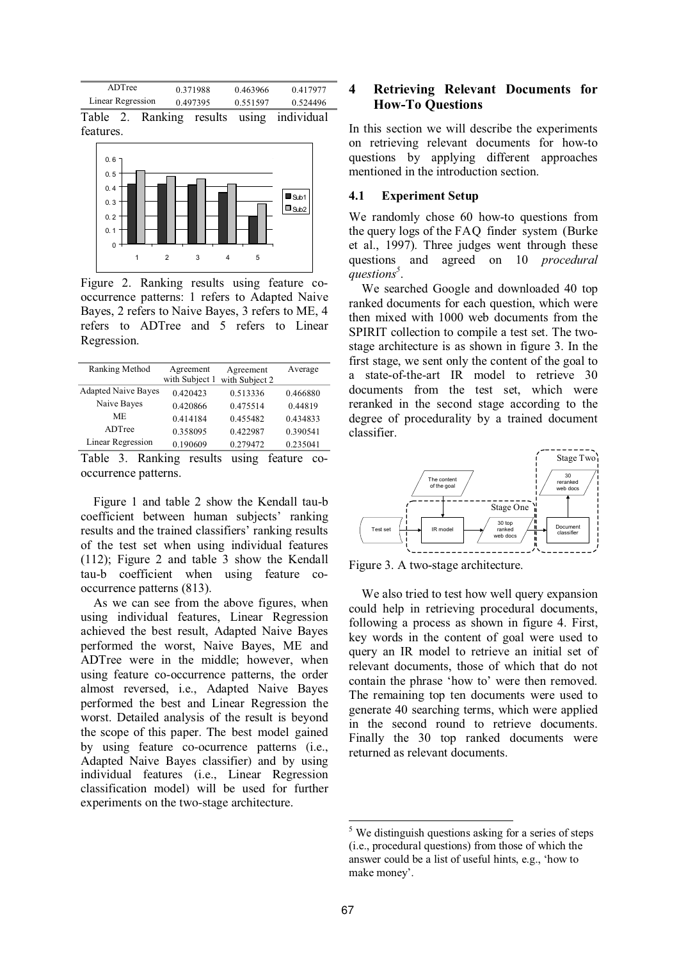

features.



Figure 2. Ranking results using feature cooccurrence patterns: 1 refers to Adapted Naive Bayes, 2 refers to Naive Bayes, 3 refers to ME, 4 refers to ADTree and 5 refers to Linear Regression.

| Ranking Method             | Agreement<br>with Subject 1 | Agreement<br>with Subject 2 | Average  |
|----------------------------|-----------------------------|-----------------------------|----------|
| <b>Adapted Naive Bayes</b> | 0.420423                    | 0.513336                    | 0.466880 |
| Naive Bayes                | 0.420866                    | 0.475514                    | 0.44819  |
| ME.                        | 0.414184                    | 0.455482                    | 0.434833 |
| ADTree                     | 0.358095                    | 0.422987                    | 0.390541 |
| <b>Linear Regression</b>   | 0.190609                    | 0.279472                    | 0.235041 |

Table 3. Ranking results using feature cooccurrence patterns.

Figure 1 and table 2 show the Kendall tau-b coefficient between human subjects' ranking results and the trained classifiers' ranking results of the test set when using individual features (112); Figure 2 and table 3 show the Kendall tau-b coefficient when using feature cooccurrence patterns (813).

As we can see from the above figures, when using individual features, Linear Regression achieved the best result, Adapted Naive Bayes performed the worst, Naive Bayes, ME and ADTree were in the middle; however, when using feature co-occurrence patterns, the order almost reversed, i.e., Adapted Naive Bayes performed the best and Linear Regression the worst. Detailed analysis of the result is beyond the scope of this paper. The best model gained by using feature co-ocurrence patterns (i.e., Adapted Naive Bayes classifier) and by using individual features (i.e., Linear Regression classification model) will be used for further experiments on the two-stage architecture.

# **4 Retrieving Relevant Documents for How-To Questions**

In this section we will describe the experiments on retrieving relevant documents for how-to questions by applying different approaches mentioned in the introduction section.

### **4.1 Experiment Setup**

We randomly chose 60 how-to questions from the query logs of the FAQ finder system (Burke et al., 1997). Three judges went through these questions and agreed on 10 *procedural questions<sup>5</sup>* .

We searched Google and downloaded 40 top ranked documents for each question, which were then mixed with 1000 web documents from the SPIRIT collection to compile a test set. The twostage architecture is as shown in figure 3. In the first stage, we sent only the content of the goal to a state-of-the-art IR model to retrieve 30 documents from the test set, which were reranked in the second stage according to the degree of procedurality by a trained document classifier.



Figure 3. A two-stage architecture.

We also tried to test how well query expansion could help in retrieving procedural documents, following a process as shown in figure 4. First, key words in the content of goal were used to query an IR model to retrieve an initial set of relevant documents, those of which that do not contain the phrase 'how to' were then removed. The remaining top ten documents were used to generate 40 searching terms, which were applied in the second round to retrieve documents. Finally the 30 top ranked documents were returned as relevant documents.

 $\overline{a}$ 

<sup>&</sup>lt;sup>5</sup> We distinguish questions asking for a series of steps (i.e., procedural questions) from those of which the answer could be a list of useful hints, e.g., 'how to make money'.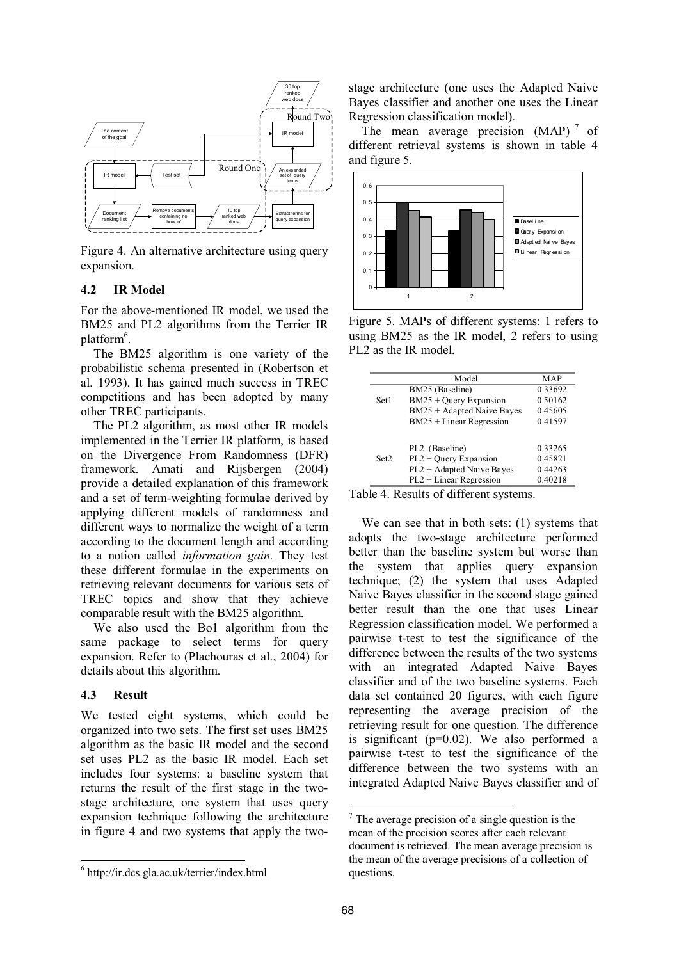

Figure 4. An alternative architecture using query expansion.

#### **4.2 IR Model**

For the above-mentioned IR model, we used the BM25 and PL2 algorithms from the Terrier IR platform<sup>6</sup>.

The BM25 algorithm is one variety of the probabilistic schema presented in (Robertson et al. 1993). It has gained much success in TREC competitions and has been adopted by many other TREC participants.

The PL2 algorithm, as most other IR models implemented in the Terrier IR platform, is based on the Divergence From Randomness (DFR) framework. Amati and Rijsbergen (2004) provide a detailed explanation of this framework and a set of term-weighting formulae derived by applying different models of randomness and different ways to normalize the weight of a term according to the document length and according to a notion called *information gain*. They test these different formulae in the experiments on retrieving relevant documents for various sets of TREC topics and show that they achieve comparable result with the BM25 algorithm.

We also used the Bo1 algorithm from the same package to select terms for query expansion. Refer to (Plachouras et al., 2004) for details about this algorithm.

#### **4.3 Result**

 $\overline{a}$ 

We tested eight systems, which could be organized into two sets. The first set uses BM25 algorithm as the basic IR model and the second set uses PL2 as the basic IR model. Each set includes four systems: a baseline system that returns the result of the first stage in the twostage architecture, one system that uses query expansion technique following the architecture in figure 4 and two systems that apply the twostage architecture (one uses the Adapted Naive Bayes classifier and another one uses the Linear Regression classification model).

The mean average precision  $(MAP)^7$  of different retrieval systems is shown in table 4 and figure 5.



Figure 5. MAPs of different systems: 1 refers to using BM25 as the IR model, 2 refers to using PL2 as the IR model.

|      | Model                      | MAP     |
|------|----------------------------|---------|
|      | BM25 (Baseline)            | 0.33692 |
| Set1 | $BM25 + Query Expansion$   | 0.50162 |
|      | BM25 + Adapted Naive Bayes | 0.45605 |
|      | $BM25 + Linear Regression$ | 0.41597 |
|      |                            |         |
|      | PL2 (Baseline)             | 0.33265 |
| Set2 | $PL2 + Query Expansion$    | 0.45821 |
|      | PL2 + Adapted Naive Bayes  | 0.44263 |
|      | $PL2 + Linear Regression$  | 0.40218 |

Table 4. Results of different systems.

We can see that in both sets: (1) systems that adopts the two-stage architecture performed better than the baseline system but worse than the system that applies query expansion technique; (2) the system that uses Adapted Naive Bayes classifier in the second stage gained better result than the one that uses Linear Regression classification model. We performed a pairwise t-test to test the significance of the difference between the results of the two systems with an integrated Adapted Naive Bayes classifier and of the two baseline systems. Each data set contained 20 figures, with each figure representing the average precision of the retrieving result for one question. The difference is significant ( $p=0.02$ ). We also performed a pairwise t-test to test the significance of the difference between the two systems with an integrated Adapted Naive Bayes classifier and of

 $\overline{a}$ 

<sup>6</sup> http://ir.dcs.gla.ac.uk/terrier/index.html

<sup>7</sup> The average precision of a single question is the mean of the precision scores after each relevant document is retrieved. The mean average precision is the mean of the average precisions of a collection of questions.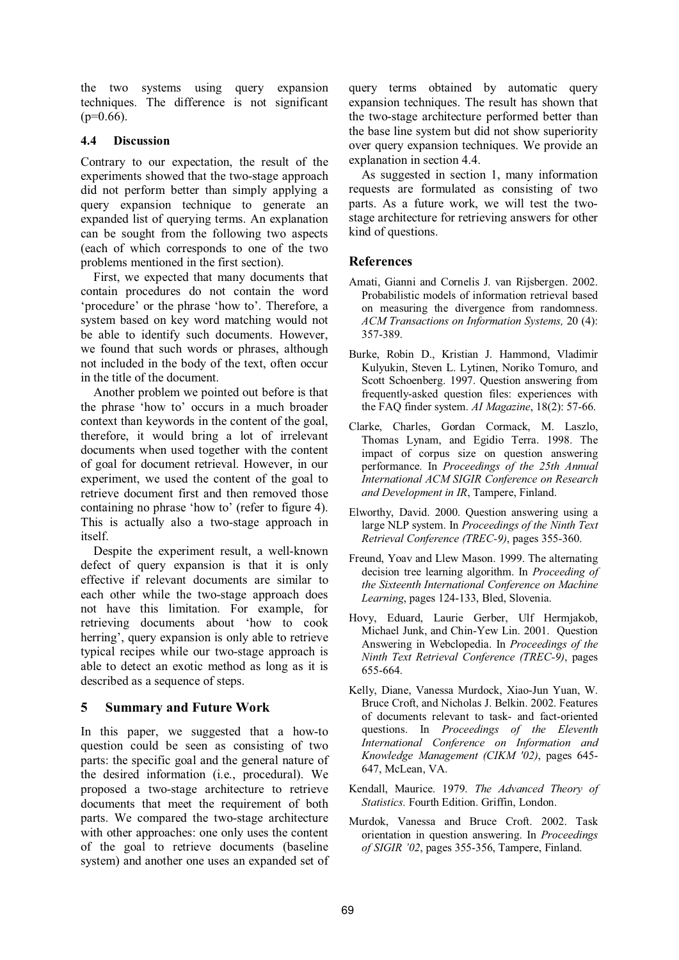the two systems using query expansion techniques. The difference is not significant  $(p=0.66)$ .

## **4.4 Discussion**

Contrary to our expectation, the result of the experiments showed that the two-stage approach did not perform better than simply applying a query expansion technique to generate an expanded list of querying terms. An explanation can be sought from the following two aspects (each of which corresponds to one of the two problems mentioned in the first section).

First, we expected that many documents that contain procedures do not contain the word 'procedure' or the phrase 'how to'. Therefore, a system based on key word matching would not be able to identify such documents. However, we found that such words or phrases, although not included in the body of the text, often occur in the title of the document.

Another problem we pointed out before is that the phrase 'how to' occurs in a much broader context than keywords in the content of the goal, therefore, it would bring a lot of irrelevant documents when used together with the content of goal for document retrieval. However, in our experiment, we used the content of the goal to retrieve document first and then removed those containing no phrase 'how to' (refer to figure 4). This is actually also a two-stage approach in itself.

Despite the experiment result, a well-known defect of query expansion is that it is only effective if relevant documents are similar to each other while the two-stage approach does not have this limitation. For example, for retrieving documents about 'how to cook herring', query expansion is only able to retrieve typical recipes while our two-stage approach is able to detect an exotic method as long as it is described as a sequence of steps.

# **5 Summary and Future Work**

In this paper, we suggested that a how-to question could be seen as consisting of two parts: the specific goal and the general nature of the desired information (i.e., procedural). We proposed a two-stage architecture to retrieve documents that meet the requirement of both parts. We compared the two-stage architecture with other approaches: one only uses the content of the goal to retrieve documents (baseline system) and another one uses an expanded set of query terms obtained by automatic query expansion techniques. The result has shown that the two-stage architecture performed better than the base line system but did not show superiority over query expansion techniques. We provide an explanation in section 4.4.

As suggested in section 1, many information requests are formulated as consisting of two parts. As a future work, we will test the twostage architecture for retrieving answers for other kind of questions.

# **References**

- Amati, Gianni and Cornelis J. van Rijsbergen. 2002. Probabilistic models of information retrieval based on measuring the divergence from randomness. *ACM Transactions on Information Systems,* 20 (4): 357-389.
- Burke, Robin D., Kristian J. Hammond, Vladimir Kulyukin, Steven L. Lytinen, Noriko Tomuro, and Scott Schoenberg. 1997. Question answering from frequently-asked question files: experiences with the FAQ finder system. *AI Magazine*, 18(2): 57-66.
- Clarke, Charles, Gordan Cormack, M. Laszlo, Thomas Lynam, and Egidio Terra. 1998. The impact of corpus size on question answering performance. In *Proceedings of the 25th Annual International ACM SIGIR Conference on Research and Development in IR*, Tampere, Finland.
- Elworthy, David. 2000. Question answering using a large NLP system. In *Proceedings of the Ninth Text Retrieval Conference (TREC-9)*, pages 355-360.
- Freund, Yoav and Llew Mason. 1999. The alternating decision tree learning algorithm. In *Proceeding of the Sixteenth International Conference on Machine Learning*, pages 124-133, Bled, Slovenia.
- Hovy, Eduard, Laurie Gerber, Ulf Hermjakob, Michael Junk, and Chin-Yew Lin. 2001. Question Answering in Webclopedia. In *Proceedings of the Ninth Text Retrieval Conference (TREC-9)*, pages 655-664.
- Kelly, Diane, Vanessa Murdock, Xiao-Jun Yuan, W. Bruce Croft, and Nicholas J. Belkin. 2002. Features of documents relevant to task- and fact-oriented questions. In *Proceedings of the Eleventh International Conference on Information and Knowledge Management (CIKM '02)*, pages 645- 647, McLean, VA.
- Kendall, Maurice. 1979. *The Advanced Theory of Statistics.* Fourth Edition. Griffin, London.
- Murdok, Vanessa and Bruce Croft. 2002. Task orientation in question answering. In *Proceedings of SIGIR '02*, pages 355-356, Tampere, Finland.